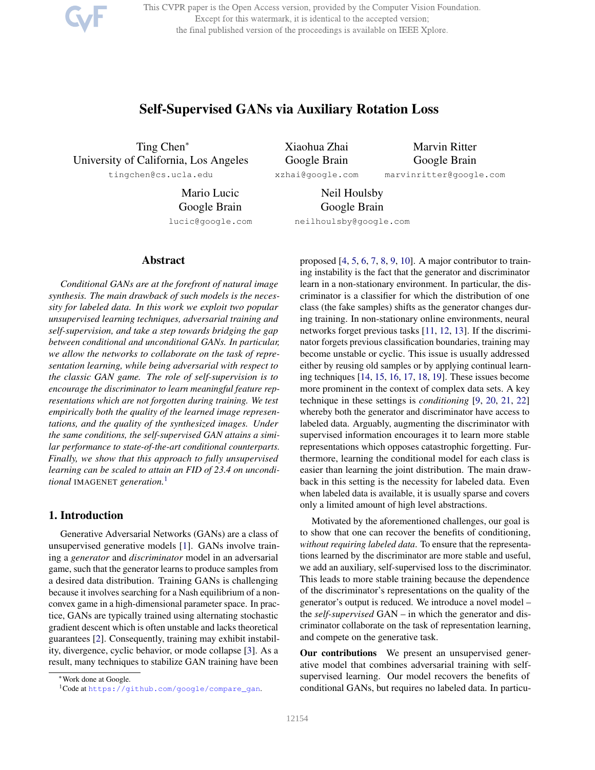This CVPR paper is the Open Access version, provided by the Computer Vision Foundation. Except for this watermark, it is identical to the accepted version; the final published version of the proceedings is available on IEEE Xplore.

# Self-Supervised GANs via Auxiliary Rotation Loss

Ting Chen<sup>∗</sup> University of California, Los Angeles tingchen@cs.ucla.edu

Mario Lucic Google Brain lucic@google.com

Xiaohua Zhai Google Brain xzhai@google.com Marvin Ritter Google Brain

marvinritter@google.com

Neil Houlsby Google Brain

neilhoulsby@google.com

#### Abstract

*Conditional GANs are at the forefront of natural image synthesis. The main drawback of such models is the necessity for labeled data. In this work we exploit two popular unsupervised learning techniques, adversarial training and self-supervision, and take a step towards bridging the gap between conditional and unconditional GANs. In particular, we allow the networks to collaborate on the task of representation learning, while being adversarial with respect to the classic GAN game. The role of self-supervision is to encourage the discriminator to learn meaningful feature representations which are not forgotten during training. We test empirically both the quality of the learned image representations, and the quality of the synthesized images. Under the same conditions, the self-supervised GAN attains a similar performance to state-of-the-art conditional counterparts. Finally, we show that this approach to fully unsupervised learning can be scaled to attain an FID of 23.4 on unconditional* IMAGENET *generation.*<sup>1</sup>

# 1. Introduction

Generative Adversarial Networks (GANs) are a class of unsupervised generative models [1]. GANs involve training a *generator* and *discriminator* model in an adversarial game, such that the generator learns to produce samples from a desired data distribution. Training GANs is challenging because it involves searching for a Nash equilibrium of a nonconvex game in a high-dimensional parameter space. In practice, GANs are typically trained using alternating stochastic gradient descent which is often unstable and lacks theoretical guarantees [2]. Consequently, training may exhibit instability, divergence, cyclic behavior, or mode collapse [3]. As a result, many techniques to stabilize GAN training have been

ing instability is the fact that the generator and discriminator learn in a non-stationary environment. In particular, the discriminator is a classifier for which the distribution of one class (the fake samples) shifts as the generator changes during training. In non-stationary online environments, neural networks forget previous tasks [11, 12, 13]. If the discriminator forgets previous classification boundaries, training may become unstable or cyclic. This issue is usually addressed either by reusing old samples or by applying continual learning techniques [14, 15, 16, 17, 18, 19]. These issues become more prominent in the context of complex data sets. A key technique in these settings is *conditioning* [9, 20, 21, 22] whereby both the generator and discriminator have access to labeled data. Arguably, augmenting the discriminator with supervised information encourages it to learn more stable representations which opposes catastrophic forgetting. Furthermore, learning the conditional model for each class is easier than learning the joint distribution. The main drawback in this setting is the necessity for labeled data. Even when labeled data is available, it is usually sparse and covers only a limited amount of high level abstractions.

proposed [4, 5, 6, 7, 8, 9, 10]. A major contributor to train-

Motivated by the aforementioned challenges, our goal is to show that one can recover the benefits of conditioning, *without requiring labeled data*. To ensure that the representations learned by the discriminator are more stable and useful, we add an auxiliary, self-supervised loss to the discriminator. This leads to more stable training because the dependence of the discriminator's representations on the quality of the generator's output is reduced. We introduce a novel model – the *self-supervised* GAN – in which the generator and discriminator collaborate on the task of representation learning, and compete on the generative task.

Our contributions We present an unsupervised generative model that combines adversarial training with selfsupervised learning. Our model recovers the benefits of conditional GANs, but requires no labeled data. In particu-

<sup>∗</sup>Work done at Google.

<sup>1</sup>Code at https://github.com/google/compare\_gan.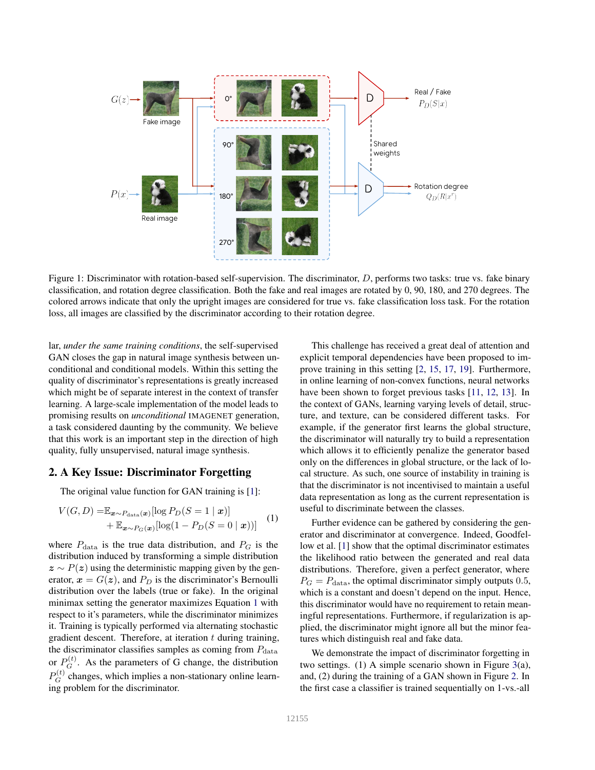

Figure 1: Discriminator with rotation-based self-supervision. The discriminator, D, performs two tasks: true vs. fake binary classification, and rotation degree classification. Both the fake and real images are rotated by 0, 90, 180, and 270 degrees. The colored arrows indicate that only the upright images are considered for true vs. fake classification loss task. For the rotation loss, all images are classified by the discriminator according to their rotation degree.

lar, *under the same training conditions*, the self-supervised GAN closes the gap in natural image synthesis between unconditional and conditional models. Within this setting the quality of discriminator's representations is greatly increased which might be of separate interest in the context of transfer learning. A large-scale implementation of the model leads to promising results on *unconditional* IMAGENET generation, a task considered daunting by the community. We believe that this work is an important step in the direction of high quality, fully unsupervised, natural image synthesis.

#### 2. A Key Issue: Discriminator Forgetting

The original value function for GAN training is [1]:

$$
V(G, D) = \mathbb{E}_{\boldsymbol{x} \sim P_{\text{data}}(\boldsymbol{x})}[\log P_D(S=1 \mid \boldsymbol{x})] + \mathbb{E}_{\boldsymbol{x} \sim P_G(\boldsymbol{x})}[\log(1 - P_D(S=0 \mid \boldsymbol{x}))]
$$
(1)

where  $P_{data}$  is the true data distribution, and  $P_G$  is the distribution induced by transforming a simple distribution  $z \sim P(z)$  using the deterministic mapping given by the generator,  $x = G(z)$ , and  $P<sub>D</sub>$  is the discriminator's Bernoulli distribution over the labels (true or fake). In the original minimax setting the generator maximizes Equation 1 with respect to it's parameters, while the discriminator minimizes it. Training is typically performed via alternating stochastic gradient descent. Therefore, at iteration  $t$  during training, the discriminator classifies samples as coming from  $P_{\text{data}}$ or  $P_G^{(t)}$ . As the parameters of G change, the distribution  $P_G^{(t)}$  changes, which implies a non-stationary online learning problem for the discriminator.

This challenge has received a great deal of attention and explicit temporal dependencies have been proposed to improve training in this setting [2, 15, 17, 19]. Furthermore, in online learning of non-convex functions, neural networks have been shown to forget previous tasks [11, 12, 13]. In the context of GANs, learning varying levels of detail, structure, and texture, can be considered different tasks. For example, if the generator first learns the global structure, the discriminator will naturally try to build a representation which allows it to efficiently penalize the generator based only on the differences in global structure, or the lack of local structure. As such, one source of instability in training is that the discriminator is not incentivised to maintain a useful data representation as long as the current representation is useful to discriminate between the classes.

Further evidence can be gathered by considering the generator and discriminator at convergence. Indeed, Goodfellow et al. [1] show that the optimal discriminator estimates the likelihood ratio between the generated and real data distributions. Therefore, given a perfect generator, where  $P_G = P_{data}$ , the optimal discriminator simply outputs 0.5, which is a constant and doesn't depend on the input. Hence, this discriminator would have no requirement to retain meaningful representations. Furthermore, if regularization is applied, the discriminator might ignore all but the minor features which distinguish real and fake data.

We demonstrate the impact of discriminator forgetting in two settings. (1) A simple scenario shown in Figure 3(a), and, (2) during the training of a GAN shown in Figure 2. In the first case a classifier is trained sequentially on 1-vs.-all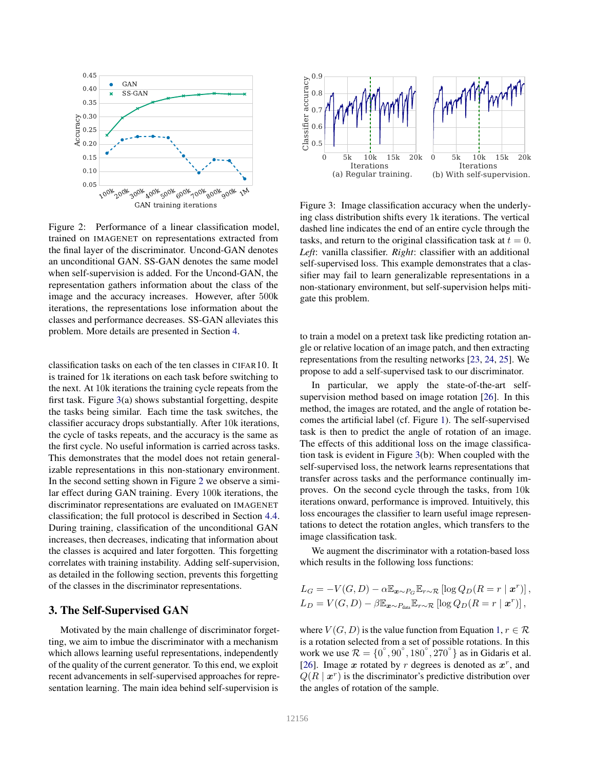

Figure 2: Performance of a linear classification model, trained on IMAGENET on representations extracted from the final layer of the discriminator. Uncond-GAN denotes an unconditional GAN. SS-GAN denotes the same model when self-supervision is added. For the Uncond-GAN, the representation gathers information about the class of the image and the accuracy increases. However, after 500k iterations, the representations lose information about the classes and performance decreases. SS-GAN alleviates this problem. More details are presented in Section 4.

classification tasks on each of the ten classes in CIFAR10. It is trained for 1k iterations on each task before switching to the next. At 10k iterations the training cycle repeats from the first task. Figure 3(a) shows substantial forgetting, despite the tasks being similar. Each time the task switches, the classifier accuracy drops substantially. After 10k iterations, the cycle of tasks repeats, and the accuracy is the same as the first cycle. No useful information is carried across tasks. This demonstrates that the model does not retain generalizable representations in this non-stationary environment. In the second setting shown in Figure 2 we observe a similar effect during GAN training. Every 100k iterations, the discriminator representations are evaluated on IMAGENET classification; the full protocol is described in Section 4.4. During training, classification of the unconditional GAN increases, then decreases, indicating that information about the classes is acquired and later forgotten. This forgetting correlates with training instability. Adding self-supervision, as detailed in the following section, prevents this forgetting of the classes in the discriminator representations.

### 3. The Self-Supervised GAN

Motivated by the main challenge of discriminator forgetting, we aim to imbue the discriminator with a mechanism which allows learning useful representations, independently of the quality of the current generator. To this end, we exploit recent advancements in self-supervised approaches for representation learning. The main idea behind self-supervision is



Figure 3: Image classification accuracy when the underlying class distribution shifts every 1k iterations. The vertical dashed line indicates the end of an entire cycle through the tasks, and return to the original classification task at  $t = 0$ . *Left*: vanilla classifier. *Right*: classifier with an additional self-supervised loss. This example demonstrates that a classifier may fail to learn generalizable representations in a non-stationary environment, but self-supervision helps mitigate this problem.

to train a model on a pretext task like predicting rotation angle or relative location of an image patch, and then extracting representations from the resulting networks [23, 24, 25]. We propose to add a self-supervised task to our discriminator.

In particular, we apply the state-of-the-art selfsupervision method based on image rotation [26]. In this method, the images are rotated, and the angle of rotation becomes the artificial label (cf. Figure 1). The self-supervised task is then to predict the angle of rotation of an image. The effects of this additional loss on the image classification task is evident in Figure 3(b): When coupled with the self-supervised loss, the network learns representations that transfer across tasks and the performance continually improves. On the second cycle through the tasks, from 10k iterations onward, performance is improved. Intuitively, this loss encourages the classifier to learn useful image representations to detect the rotation angles, which transfers to the image classification task.

We augment the discriminator with a rotation-based loss which results in the following loss functions:

$$
L_G = -V(G, D) - \alpha \mathbb{E}_{\mathbf{x} \sim P_G} \mathbb{E}_{r \sim \mathcal{R}} [\log Q_D(R = r \mid \mathbf{x}^r)],
$$
  
\n
$$
L_D = V(G, D) - \beta \mathbb{E}_{\mathbf{x} \sim P_{data}} \mathbb{E}_{r \sim \mathcal{R}} [\log Q_D(R = r \mid \mathbf{x}^r)],
$$

where  $V(G, D)$  is the value function from Equation 1,  $r \in \mathcal{R}$ is a rotation selected from a set of possible rotations. In this work we use  $\mathcal{R} = \{0^\circ, 90^\circ, 180^\circ, 270^\circ\}$  as in Gidaris et al. [26]. Image  $x$  rotated by  $r$  degrees is denoted as  $x^r$ , and  $Q(R | x^r)$  is the discriminator's predictive distribution over the angles of rotation of the sample.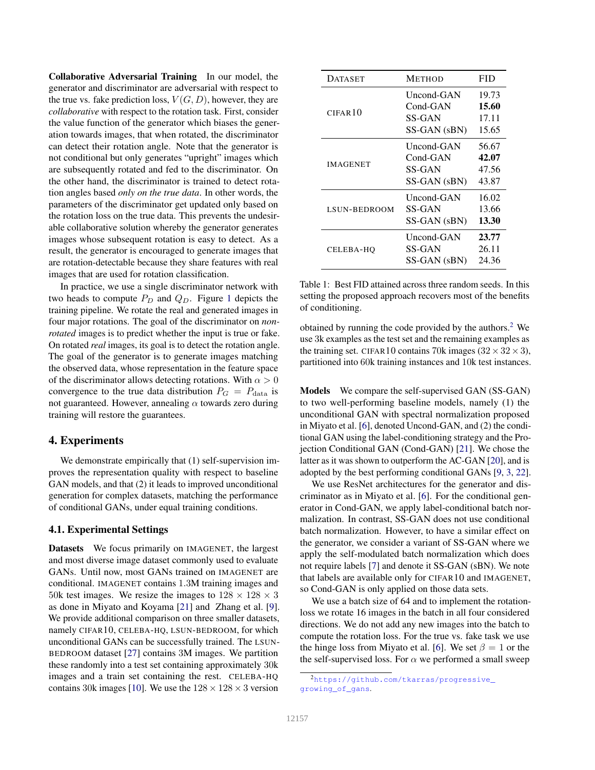Collaborative Adversarial Training In our model, the generator and discriminator are adversarial with respect to the true vs. fake prediction loss,  $V(G, D)$ , however, they are *collaborative* with respect to the rotation task. First, consider the value function of the generator which biases the generation towards images, that when rotated, the discriminator can detect their rotation angle. Note that the generator is not conditional but only generates "upright" images which are subsequently rotated and fed to the discriminator. On the other hand, the discriminator is trained to detect rotation angles based *only on the true data*. In other words, the parameters of the discriminator get updated only based on the rotation loss on the true data. This prevents the undesirable collaborative solution whereby the generator generates images whose subsequent rotation is easy to detect. As a result, the generator is encouraged to generate images that are rotation-detectable because they share features with real images that are used for rotation classification.

In practice, we use a single discriminator network with two heads to compute  $P_D$  and  $Q_D$ . Figure 1 depicts the training pipeline. We rotate the real and generated images in four major rotations. The goal of the discriminator on *nonrotated* images is to predict whether the input is true or fake. On rotated *real* images, its goal is to detect the rotation angle. The goal of the generator is to generate images matching the observed data, whose representation in the feature space of the discriminator allows detecting rotations. With  $\alpha > 0$ convergence to the true data distribution  $P_G = P_{data}$  is not guaranteed. However, annealing  $\alpha$  towards zero during training will restore the guarantees.

### 4. Experiments

We demonstrate empirically that (1) self-supervision improves the representation quality with respect to baseline GAN models, and that (2) it leads to improved unconditional generation for complex datasets, matching the performance of conditional GANs, under equal training conditions.

### 4.1. Experimental Settings

Datasets We focus primarily on IMAGENET, the largest and most diverse image dataset commonly used to evaluate GANs. Until now, most GANs trained on IMAGENET are conditional. IMAGENET contains 1.3M training images and 50k test images. We resize the images to  $128 \times 128 \times 3$ as done in Miyato and Koyama [21] and Zhang et al. [9]. We provide additional comparison on three smaller datasets, namely CIFAR10, CELEBA-HQ, LSUN-BEDROOM, for which unconditional GANs can be successfully trained. The LSUN-BEDROOM dataset [27] contains 3M images. We partition these randomly into a test set containing approximately 30k images and a train set containing the rest. CELEBA-HQ contains 30k images [10]. We use the  $128 \times 128 \times 3$  version

| <b>DATASET</b>      | <b>METHOD</b>                                      | FID                              |
|---------------------|----------------------------------------------------|----------------------------------|
| CIFAR <sub>10</sub> | Uncond-GAN<br>$Cond-GAN$<br><b>SS-GAN</b>          | 19.73<br>15.60<br>17.11          |
|                     | SS-GAN (sBN)                                       | 15.65                            |
| <b>IMAGENET</b>     | Uncond-GAN<br>$Cond-GAN$<br>SS-GAN<br>SS-GAN (sBN) | 56.67<br>42.07<br>47.56<br>43.87 |
| LSUN-BEDROOM        | Uncond-GAN<br>SS-GAN<br>SS-GAN (sBN)               | 16.02<br>13.66<br>13.30          |
| CELEBA-HO           | Uncond-GAN<br>SS-GAN<br>SS-GAN (sBN)               | 23.77<br>26.11<br>24.36          |

Table 1: Best FID attained across three random seeds. In this setting the proposed approach recovers most of the benefits of conditioning.

obtained by running the code provided by the authors.<sup>2</sup> We use 3k examples as the test set and the remaining examples as the training set. CIFAR10 contains 70k images  $(32 \times 32 \times 3)$ , partitioned into 60k training instances and 10k test instances.

Models We compare the self-supervised GAN (SS-GAN) to two well-performing baseline models, namely (1) the unconditional GAN with spectral normalization proposed in Miyato et al. [6], denoted Uncond-GAN, and (2) the conditional GAN using the label-conditioning strategy and the Projection Conditional GAN (Cond-GAN) [21]. We chose the latter as it was shown to outperform the AC-GAN [20], and is adopted by the best performing conditional GANs [9, 3, 22].

We use ResNet architectures for the generator and discriminator as in Miyato et al. [6]. For the conditional generator in Cond-GAN, we apply label-conditional batch normalization. In contrast, SS-GAN does not use conditional batch normalization. However, to have a similar effect on the generator, we consider a variant of SS-GAN where we apply the self-modulated batch normalization which does not require labels [7] and denote it SS-GAN (sBN). We note that labels are available only for CIFAR10 and IMAGENET, so Cond-GAN is only applied on those data sets.

We use a batch size of 64 and to implement the rotationloss we rotate 16 images in the batch in all four considered directions. We do not add any new images into the batch to compute the rotation loss. For the true vs. fake task we use the hinge loss from Miyato et al. [6]. We set  $\beta = 1$  or the the self-supervised loss. For  $\alpha$  we performed a small sweep

<sup>2</sup>https://github.com/tkarras/progressive\_ growing\_of\_gans.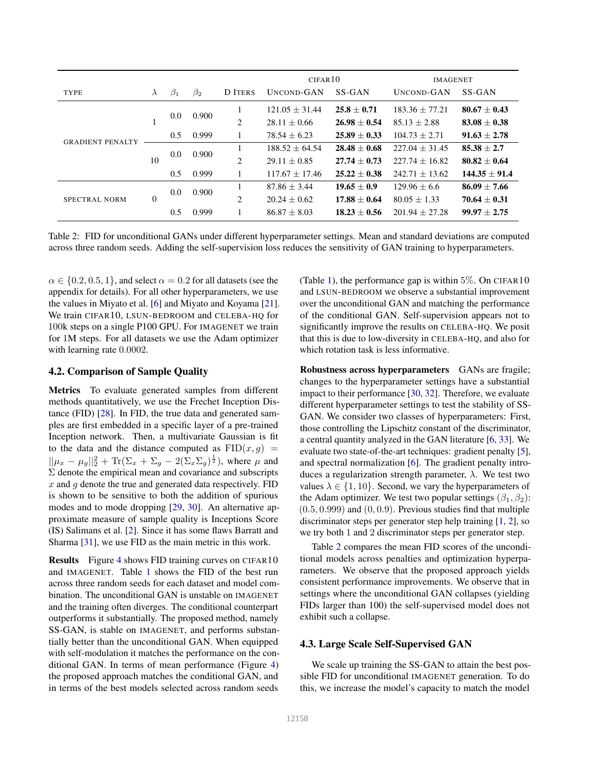|                         |                |           |           |                | CIFAR10           |                  | <b>IMAGENET</b>    |                  |
|-------------------------|----------------|-----------|-----------|----------------|-------------------|------------------|--------------------|------------------|
| <b>TYPE</b>             | $\lambda$      | $\beta_1$ | $\beta_2$ | D ITERS        | <b>UNCOND-GAN</b> | SS-GAN           | UNCOND-GAN         | SS-GAN           |
| <b>GRADIENT PENALTY</b> |                | 0.0       | 0.900     |                | $121.05 + 31.44$  | $25.8 + 0.71$    | $183.36 + 77.21$   | $80.67 + 0.43$   |
|                         |                |           |           | $\overline{2}$ | $28.11 + 0.66$    | $26.98 + 0.54$   | $85.13 \pm 2.88$   | $83.08 \pm 0.38$ |
|                         |                | 0.5       | 0.999     |                | $78.54 \pm 6.23$  | $25.89 \pm 0.33$ | $104.73 + 2.71$    | $91.63 \pm 2.78$ |
|                         | 10             | 0.0       | 0.900     |                | $188.52 + 64.54$  | $28.48 + 0.68$   | $227.04 + 31.45$   | $85.38 + 2.7$    |
|                         |                |           |           | 2              | $29.11 + 0.85$    | $27.74 + 0.73$   | $227.74 \pm 16.82$ | $80.82 \pm 0.64$ |
|                         |                | 0.5       | 0.999     |                | $117.67 + 17.46$  | $25.22 + 0.38$   | $242.71 + 13.62$   | $144.35 + 91.4$  |
| SPECTRAL NORM           | $\overline{0}$ | 0.0       | 0.900     |                | $87.86 + 3.44$    | $19.65 + 0.9$    | $129.96 + 6.6$     | $86.09 + 7.66$   |
|                         |                |           |           | 2              | $20.24 + 0.62$    | $17.88 \pm 0.64$ | $80.05 + 1.33$     | $70.64 + 0.31$   |
|                         |                | 0.5       | 0.999     |                | $86.87 + 8.03$    | $18.23 \pm 0.56$ | $201.94 + 27.28$   | $99.97 \pm 2.75$ |

Table 2: FID for unconditional GANs under different hyperparameter settings. Mean and standard deviations are computed across three random seeds. Adding the self-supervision loss reduces the sensitivity of GAN training to hyperparameters.

 $\alpha \in \{0.2, 0.5, 1\}$ , and select  $\alpha = 0.2$  for all datasets (see the appendix for details). For all other hyperparameters, we use the values in Miyato et al. [6] and Miyato and Koyama [21]. We train CIFAR10, LSUN-BEDROOM and CELEBA-HQ for 100k steps on a single P100 GPU. For IMAGENET we train for 1M steps. For all datasets we use the Adam optimizer with learning rate 0.0002.

#### 4.2. Comparison of Sample Quality

Metrics To evaluate generated samples from different methods quantitatively, we use the Frechet Inception Distance (FID) [28]. In FID, the true data and generated samples are first embedded in a specific layer of a pre-trained Inception network. Then, a multivariate Gaussian is fit to the data and the distance computed as  $FID(x, g)$  =  $||\mu_x - \mu_g||_2^2 + \text{Tr}(\Sigma_x + \Sigma_g - 2(\Sigma_x \Sigma_g)^{\frac{1}{2}})$ , where  $\mu$  and  $\Sigma$  denote the empirical mean and covariance and subscripts  $x$  and  $q$  denote the true and generated data respectively. FID is shown to be sensitive to both the addition of spurious modes and to mode dropping [29, 30]. An alternative approximate measure of sample quality is Inceptions Score (IS) Salimans et al. [2]. Since it has some flaws Barratt and Sharma [31], we use FID as the main metric in this work.

Results Figure 4 shows FID training curves on CIFAR10 and IMAGENET. Table 1 shows the FID of the best run across three random seeds for each dataset and model combination. The unconditional GAN is unstable on IMAGENET and the training often diverges. The conditional counterpart outperforms it substantially. The proposed method, namely SS-GAN, is stable on IMAGENET, and performs substantially better than the unconditional GAN. When equipped with self-modulation it matches the performance on the conditional GAN. In terms of mean performance (Figure 4) the proposed approach matches the conditional GAN, and in terms of the best models selected across random seeds

(Table 1), the performance gap is within  $5\%$ . On CIFAR10 and LSUN-BEDROOM we observe a substantial improvement over the unconditional GAN and matching the performance of the conditional GAN. Self-supervision appears not to significantly improve the results on CELEBA-HQ. We posit that this is due to low-diversity in CELEBA-HQ, and also for which rotation task is less informative.

Robustness across hyperparameters GANs are fragile; changes to the hyperparameter settings have a substantial impact to their performance [30, 32]. Therefore, we evaluate different hyperparameter settings to test the stability of SS-GAN. We consider two classes of hyperparameters: First, those controlling the Lipschitz constant of the discriminator, a central quantity analyzed in the GAN literature [6, 33]. We evaluate two state-of-the-art techniques: gradient penalty [5], and spectral normalization [6]. The gradient penalty introduces a regularization strength parameter,  $\lambda$ . We test two values  $\lambda \in \{1, 10\}$ . Second, we vary the hyperparameters of the Adam optimizer. We test two popular settings  $(\beta_1, \beta_2)$ :  $(0.5, 0.999)$  and  $(0, 0.9)$ . Previous studies find that multiple discriminator steps per generator step help training [1, 2], so we try both 1 and 2 discriminator steps per generator step.

Table 2 compares the mean FID scores of the unconditional models across penalties and optimization hyperparameters. We observe that the proposed approach yields consistent performance improvements. We observe that in settings where the unconditional GAN collapses (yielding FIDs larger than 100) the self-supervised model does not exhibit such a collapse.

#### 4.3. Large Scale Self-Supervised GAN

We scale up training the SS-GAN to attain the best possible FID for unconditional IMAGENET generation. To do this, we increase the model's capacity to match the model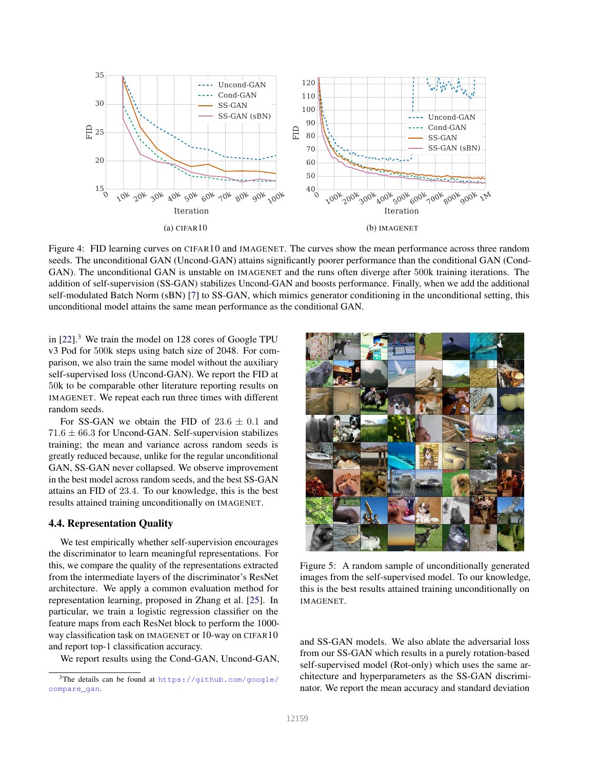

Figure 4: FID learning curves on CIFAR10 and IMAGENET. The curves show the mean performance across three random seeds. The unconditional GAN (Uncond-GAN) attains significantly poorer performance than the conditional GAN (Cond-GAN). The unconditional GAN is unstable on IMAGENET and the runs often diverge after 500k training iterations. The addition of self-supervision (SS-GAN) stabilizes Uncond-GAN and boosts performance. Finally, when we add the additional self-modulated Batch Norm (sBN) [7] to SS-GAN, which mimics generator conditioning in the unconditional setting, this unconditional model attains the same mean performance as the conditional GAN.

in  $[22]$ .<sup>3</sup> We train the model on 128 cores of Google TPU v3 Pod for 500k steps using batch size of 2048. For comparison, we also train the same model without the auxiliary self-supervised loss (Uncond-GAN). We report the FID at 50k to be comparable other literature reporting results on IMAGENET. We repeat each run three times with different random seeds.

For SS-GAN we obtain the FID of  $23.6 \pm 0.1$  and  $71.6 \pm 66.3$  for Uncond-GAN. Self-supervision stabilizes training; the mean and variance across random seeds is greatly reduced because, unlike for the regular unconditional GAN, SS-GAN never collapsed. We observe improvement in the best model across random seeds, and the best SS-GAN attains an FID of 23.4. To our knowledge, this is the best results attained training unconditionally on IMAGENET.

#### 4.4. Representation Quality

We test empirically whether self-supervision encourages the discriminator to learn meaningful representations. For this, we compare the quality of the representations extracted from the intermediate layers of the discriminator's ResNet architecture. We apply a common evaluation method for representation learning, proposed in Zhang et al. [25]. In particular, we train a logistic regression classifier on the feature maps from each ResNet block to perform the 1000 way classification task on IMAGENET or 10-way on CIFAR10 and report top-1 classification accuracy.

We report results using the Cond-GAN, Uncond-GAN,



Figure 5: A random sample of unconditionally generated images from the self-supervised model. To our knowledge, this is the best results attained training unconditionally on IMAGENET.

and SS-GAN models. We also ablate the adversarial loss from our SS-GAN which results in a purely rotation-based self-supervised model (Rot-only) which uses the same architecture and hyperparameters as the SS-GAN discriminator. We report the mean accuracy and standard deviation

<sup>3</sup>The details can be found at https://github.com/google/ compare\_gan.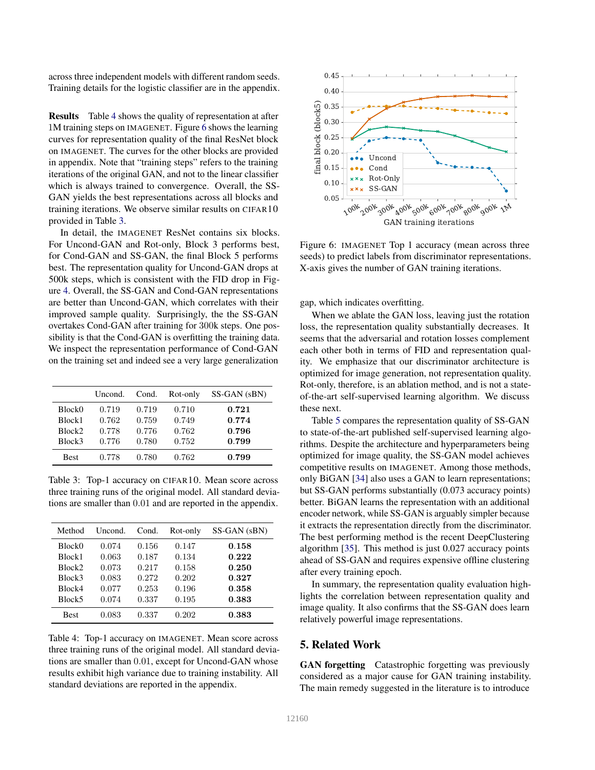across three independent models with different random seeds. Training details for the logistic classifier are in the appendix.

Results Table 4 shows the quality of representation at after 1M training steps on IMAGENET. Figure 6 shows the learning curves for representation quality of the final ResNet block on IMAGENET. The curves for the other blocks are provided in appendix. Note that "training steps" refers to the training iterations of the original GAN, and not to the linear classifier which is always trained to convergence. Overall, the SS-GAN yields the best representations across all blocks and training iterations. We observe similar results on CIFAR10 provided in Table 3.

In detail, the IMAGENET ResNet contains six blocks. For Uncond-GAN and Rot-only, Block 3 performs best, for Cond-GAN and SS-GAN, the final Block 5 performs best. The representation quality for Uncond-GAN drops at 500k steps, which is consistent with the FID drop in Figure 4. Overall, the SS-GAN and Cond-GAN representations are better than Uncond-GAN, which correlates with their improved sample quality. Surprisingly, the the SS-GAN overtakes Cond-GAN after training for 300k steps. One possibility is that the Cond-GAN is overfitting the training data. We inspect the representation performance of Cond-GAN on the training set and indeed see a very large generalization

|                    | Uncond. | Cond. | Rot-only | SS-GAN (sBN) |
|--------------------|---------|-------|----------|--------------|
| Block <sub>0</sub> | 0.719   | 0.719 | 0.710    | 0.721        |
| Block1             | 0.762   | 0.759 | 0.749    | 0.774        |
| Block <sub>2</sub> | 0.778   | 0.776 | 0.762    | 0.796        |
| Block3             | 0.776   | 0.780 | 0.752    | 0.799        |
| <b>Best</b>        | 0.778   | 0.780 | 0.762    | 0.799        |

Table 3: Top-1 accuracy on CIFAR10. Mean score across three training runs of the original model. All standard deviations are smaller than 0.01 and are reported in the appendix.

| Method             | Uncond. | Cond. | Rot-only | SS-GAN (sBN) |
|--------------------|---------|-------|----------|--------------|
| Block0             | 0.074   | 0.156 | 0.147    | 0.158        |
| Block1             | 0.063   | 0.187 | 0.134    | 0.222        |
| Block <sub>2</sub> | 0.073   | 0.217 | 0.158    | 0.250        |
| Block3             | 0.083   | 0.272 | 0.202    | 0.327        |
| Block4             | 0.077   | 0.253 | 0.196    | 0.358        |
| Block5             | 0.074   | 0.337 | 0.195    | 0.383        |
| <b>Best</b>        | 0.083   | 0.337 | 0.202    | 0.383        |

Table 4: Top-1 accuracy on IMAGENET. Mean score across three training runs of the original model. All standard deviations are smaller than 0.01, except for Uncond-GAN whose results exhibit high variance due to training instability. All standard deviations are reported in the appendix.



Figure 6: IMAGENET Top 1 accuracy (mean across three seeds) to predict labels from discriminator representations. X-axis gives the number of GAN training iterations.

gap, which indicates overfitting.

When we ablate the GAN loss, leaving just the rotation loss, the representation quality substantially decreases. It seems that the adversarial and rotation losses complement each other both in terms of FID and representation quality. We emphasize that our discriminator architecture is optimized for image generation, not representation quality. Rot-only, therefore, is an ablation method, and is not a stateof-the-art self-supervised learning algorithm. We discuss these next.

Table 5 compares the representation quality of SS-GAN to state-of-the-art published self-supervised learning algorithms. Despite the architecture and hyperparameters being optimized for image quality, the SS-GAN model achieves competitive results on IMAGENET. Among those methods, only BiGAN [34] also uses a GAN to learn representations; but SS-GAN performs substantially (0.073 accuracy points) better. BiGAN learns the representation with an additional encoder network, while SS-GAN is arguably simpler because it extracts the representation directly from the discriminator. The best performing method is the recent DeepClustering algorithm [35]. This method is just 0.027 accuracy points ahead of SS-GAN and requires expensive offline clustering after every training epoch.

In summary, the representation quality evaluation highlights the correlation between representation quality and image quality. It also confirms that the SS-GAN does learn relatively powerful image representations.

# 5. Related Work

GAN forgetting Catastrophic forgetting was previously considered as a major cause for GAN training instability. The main remedy suggested in the literature is to introduce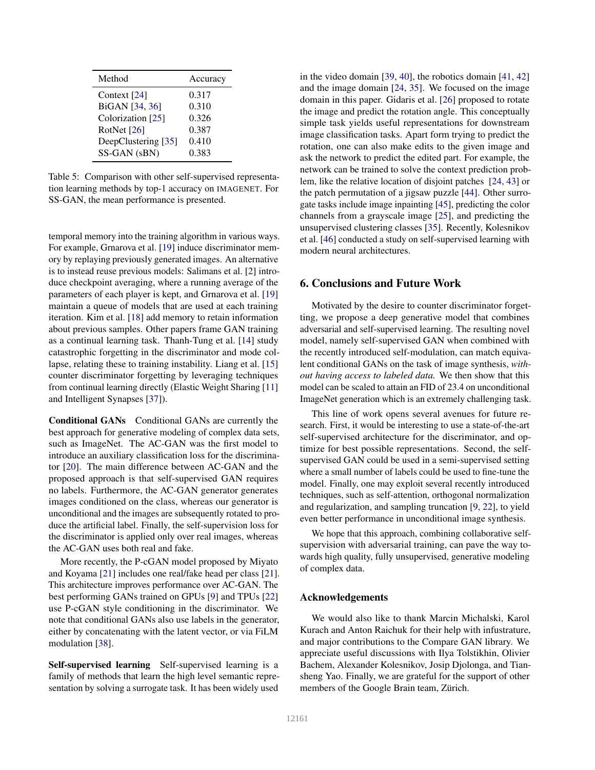| Method              | Accuracy |
|---------------------|----------|
| Context [24]        | 0.317    |
| BiGAN [34, 36]      | 0.310    |
| Colorization [25]   | 0.326    |
| RotNet [26]         | 0.387    |
| DeepClustering [35] | 0.410    |
| SS-GAN (sBN)        | 0.383    |

Table 5: Comparison with other self-supervised representation learning methods by top-1 accuracy on IMAGENET. For SS-GAN, the mean performance is presented.

temporal memory into the training algorithm in various ways. For example, Grnarova et al. [19] induce discriminator memory by replaying previously generated images. An alternative is to instead reuse previous models: Salimans et al. [2] introduce checkpoint averaging, where a running average of the parameters of each player is kept, and Grnarova et al. [19] maintain a queue of models that are used at each training iteration. Kim et al. [18] add memory to retain information about previous samples. Other papers frame GAN training as a continual learning task. Thanh-Tung et al. [14] study catastrophic forgetting in the discriminator and mode collapse, relating these to training instability. Liang et al. [15] counter discriminator forgetting by leveraging techniques from continual learning directly (Elastic Weight Sharing [11] and Intelligent Synapses [37]).

Conditional GANs Conditional GANs are currently the best approach for generative modeling of complex data sets, such as ImageNet. The AC-GAN was the first model to introduce an auxiliary classification loss for the discriminator [20]. The main difference between AC-GAN and the proposed approach is that self-supervised GAN requires no labels. Furthermore, the AC-GAN generator generates images conditioned on the class, whereas our generator is unconditional and the images are subsequently rotated to produce the artificial label. Finally, the self-supervision loss for the discriminator is applied only over real images, whereas the AC-GAN uses both real and fake.

More recently, the P-cGAN model proposed by Miyato and Koyama [21] includes one real/fake head per class [21]. This architecture improves performance over AC-GAN. The best performing GANs trained on GPUs [9] and TPUs [22] use P-cGAN style conditioning in the discriminator. We note that conditional GANs also use labels in the generator, either by concatenating with the latent vector, or via FiLM modulation [38].

Self-supervised learning Self-supervised learning is a family of methods that learn the high level semantic representation by solving a surrogate task. It has been widely used

in the video domain [39, 40], the robotics domain [41, 42] and the image domain [24, 35]. We focused on the image domain in this paper. Gidaris et al. [26] proposed to rotate the image and predict the rotation angle. This conceptually simple task yields useful representations for downstream image classification tasks. Apart form trying to predict the rotation, one can also make edits to the given image and ask the network to predict the edited part. For example, the network can be trained to solve the context prediction problem, like the relative location of disjoint patches [24, 43] or the patch permutation of a jigsaw puzzle [44]. Other surrogate tasks include image inpainting [45], predicting the color channels from a grayscale image [25], and predicting the unsupervised clustering classes [35]. Recently, Kolesnikov et al. [46] conducted a study on self-supervised learning with modern neural architectures.

## 6. Conclusions and Future Work

Motivated by the desire to counter discriminator forgetting, we propose a deep generative model that combines adversarial and self-supervised learning. The resulting novel model, namely self-supervised GAN when combined with the recently introduced self-modulation, can match equivalent conditional GANs on the task of image synthesis, *without having access to labeled data.* We then show that this model can be scaled to attain an FID of 23.4 on unconditional ImageNet generation which is an extremely challenging task.

This line of work opens several avenues for future research. First, it would be interesting to use a state-of-the-art self-supervised architecture for the discriminator, and optimize for best possible representations. Second, the selfsupervised GAN could be used in a semi-supervised setting where a small number of labels could be used to fine-tune the model. Finally, one may exploit several recently introduced techniques, such as self-attention, orthogonal normalization and regularization, and sampling truncation [9, 22], to yield even better performance in unconditional image synthesis.

We hope that this approach, combining collaborative selfsupervision with adversarial training, can pave the way towards high quality, fully unsupervised, generative modeling of complex data.

#### Acknowledgements

We would also like to thank Marcin Michalski, Karol Kurach and Anton Raichuk for their help with infustrature, and major contributions to the Compare GAN library. We appreciate useful discussions with Ilya Tolstikhin, Olivier Bachem, Alexander Kolesnikov, Josip Djolonga, and Tiansheng Yao. Finally, we are grateful for the support of other members of the Google Brain team, Zürich.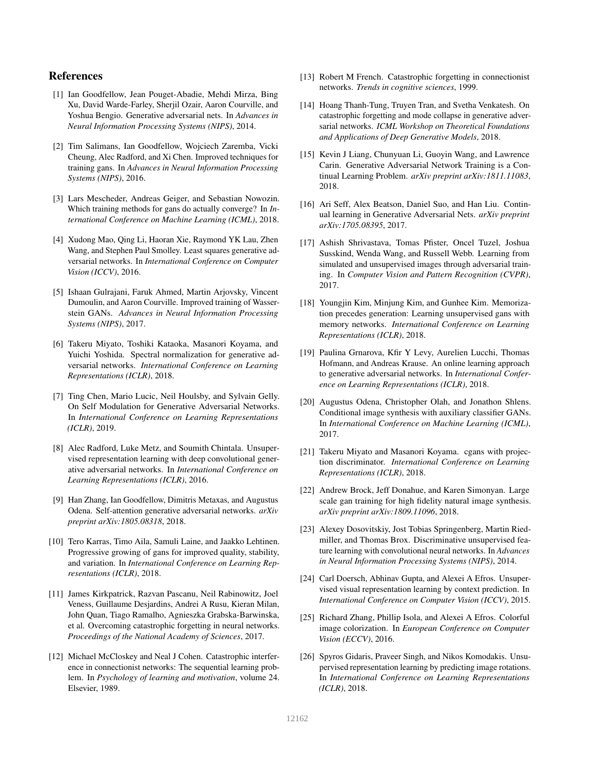# References

- [1] Ian Goodfellow, Jean Pouget-Abadie, Mehdi Mirza, Bing Xu, David Warde-Farley, Sherjil Ozair, Aaron Courville, and Yoshua Bengio. Generative adversarial nets. In *Advances in Neural Information Processing Systems (NIPS)*, 2014.
- [2] Tim Salimans, Ian Goodfellow, Wojciech Zaremba, Vicki Cheung, Alec Radford, and Xi Chen. Improved techniques for training gans. In *Advances in Neural Information Processing Systems (NIPS)*, 2016.
- [3] Lars Mescheder, Andreas Geiger, and Sebastian Nowozin. Which training methods for gans do actually converge? In *International Conference on Machine Learning (ICML)*, 2018.
- [4] Xudong Mao, Qing Li, Haoran Xie, Raymond YK Lau, Zhen Wang, and Stephen Paul Smolley. Least squares generative adversarial networks. In *International Conference on Computer Vision (ICCV)*, 2016.
- [5] Ishaan Gulrajani, Faruk Ahmed, Martin Arjovsky, Vincent Dumoulin, and Aaron Courville. Improved training of Wasserstein GANs. *Advances in Neural Information Processing Systems (NIPS)*, 2017.
- [6] Takeru Miyato, Toshiki Kataoka, Masanori Koyama, and Yuichi Yoshida. Spectral normalization for generative adversarial networks. *International Conference on Learning Representations (ICLR)*, 2018.
- [7] Ting Chen, Mario Lucic, Neil Houlsby, and Sylvain Gelly. On Self Modulation for Generative Adversarial Networks. In *International Conference on Learning Representations (ICLR)*, 2019.
- [8] Alec Radford, Luke Metz, and Soumith Chintala. Unsupervised representation learning with deep convolutional generative adversarial networks. In *International Conference on Learning Representations (ICLR)*, 2016.
- [9] Han Zhang, Ian Goodfellow, Dimitris Metaxas, and Augustus Odena. Self-attention generative adversarial networks. *arXiv preprint arXiv:1805.08318*, 2018.
- [10] Tero Karras, Timo Aila, Samuli Laine, and Jaakko Lehtinen. Progressive growing of gans for improved quality, stability, and variation. In *International Conference on Learning Representations (ICLR)*, 2018.
- [11] James Kirkpatrick, Razvan Pascanu, Neil Rabinowitz, Joel Veness, Guillaume Desjardins, Andrei A Rusu, Kieran Milan, John Quan, Tiago Ramalho, Agnieszka Grabska-Barwinska, et al. Overcoming catastrophic forgetting in neural networks. *Proceedings of the National Academy of Sciences*, 2017.
- [12] Michael McCloskey and Neal J Cohen. Catastrophic interference in connectionist networks: The sequential learning problem. In *Psychology of learning and motivation*, volume 24. Elsevier, 1989.
- [13] Robert M French. Catastrophic forgetting in connectionist networks. *Trends in cognitive sciences*, 1999.
- [14] Hoang Thanh-Tung, Truyen Tran, and Svetha Venkatesh. On catastrophic forgetting and mode collapse in generative adversarial networks. *ICML Workshop on Theoretical Foundations and Applications of Deep Generative Models*, 2018.
- [15] Kevin J Liang, Chunyuan Li, Guoyin Wang, and Lawrence Carin. Generative Adversarial Network Training is a Continual Learning Problem. *arXiv preprint arXiv:1811.11083*, 2018.
- [16] Ari Seff, Alex Beatson, Daniel Suo, and Han Liu. Continual learning in Generative Adversarial Nets. *arXiv preprint arXiv:1705.08395*, 2017.
- [17] Ashish Shrivastava, Tomas Pfister, Oncel Tuzel, Joshua Susskind, Wenda Wang, and Russell Webb. Learning from simulated and unsupervised images through adversarial training. In *Computer Vision and Pattern Recognition (CVPR)*, 2017.
- [18] Youngjin Kim, Minjung Kim, and Gunhee Kim. Memorization precedes generation: Learning unsupervised gans with memory networks. *International Conference on Learning Representations (ICLR)*, 2018.
- [19] Paulina Grnarova, Kfir Y Levy, Aurelien Lucchi, Thomas Hofmann, and Andreas Krause. An online learning approach to generative adversarial networks. In *International Conference on Learning Representations (ICLR)*, 2018.
- [20] Augustus Odena, Christopher Olah, and Jonathon Shlens. Conditional image synthesis with auxiliary classifier GANs. In *International Conference on Machine Learning (ICML)*, 2017.
- [21] Takeru Miyato and Masanori Koyama. cgans with projection discriminator. *International Conference on Learning Representations (ICLR)*, 2018.
- [22] Andrew Brock, Jeff Donahue, and Karen Simonyan. Large scale gan training for high fidelity natural image synthesis. *arXiv preprint arXiv:1809.11096*, 2018.
- [23] Alexey Dosovitskiy, Jost Tobias Springenberg, Martin Riedmiller, and Thomas Brox. Discriminative unsupervised feature learning with convolutional neural networks. In *Advances in Neural Information Processing Systems (NIPS)*, 2014.
- [24] Carl Doersch, Abhinav Gupta, and Alexei A Efros. Unsupervised visual representation learning by context prediction. In *International Conference on Computer Vision (ICCV)*, 2015.
- [25] Richard Zhang, Phillip Isola, and Alexei A Efros. Colorful image colorization. In *European Conference on Computer Vision (ECCV)*, 2016.
- [26] Spyros Gidaris, Praveer Singh, and Nikos Komodakis. Unsupervised representation learning by predicting image rotations. In *International Conference on Learning Representations (ICLR)*, 2018.